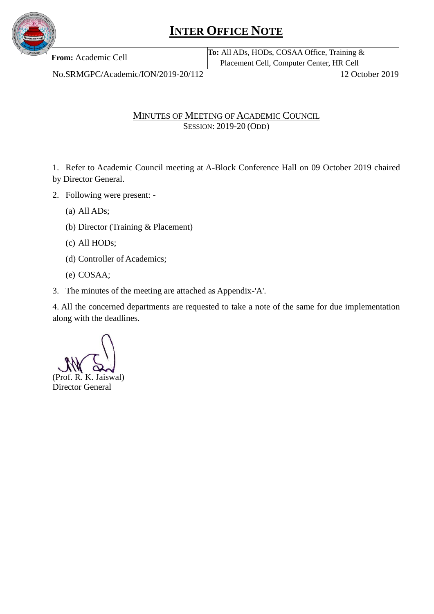

## **INTER OFFICE NOTE**

**From:** Academic Cell **To:** All ADs, HODs, COSAA Office, Training & Placement Cell, Computer Center, HR Cell

No.SRMGPC/Academic/ION/2019-20/112 12 October 2019

MINUTES OF MEETING OF ACADEMIC COUNCIL SESSION: 2019-20 (ODD)

1. Refer to Academic Council meeting at A-Block Conference Hall on 09 October 2019 chaired by Director General.

- 2. Following were present:
	- (a) All ADs;
	- (b) Director (Training & Placement)
	- (c) All HODs;
	- (d) Controller of Academics;
	- (e) COSAA;
- 3. The minutes of the meeting are attached as Appendix-'A'.

4. All the concerned departments are requested to take a note of the same for due implementation along with the deadlines.

(Prof. R. K. Jaiswal) Director General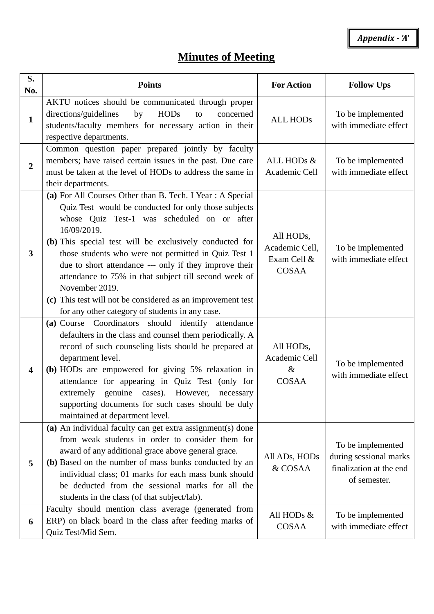*Appendix - 'A'*

## **Minutes of Meeting**

| S.<br>No.               | <b>Points</b>                                                                                                                                                                                                                                                                                                                                                                                                                                                                                                                                             | <b>For Action</b>                                          | <b>Follow Ups</b>                                                                      |
|-------------------------|-----------------------------------------------------------------------------------------------------------------------------------------------------------------------------------------------------------------------------------------------------------------------------------------------------------------------------------------------------------------------------------------------------------------------------------------------------------------------------------------------------------------------------------------------------------|------------------------------------------------------------|----------------------------------------------------------------------------------------|
| $\mathbf{1}$            | AKTU notices should be communicated through proper<br>directions/guidelines<br><b>HODs</b><br>by<br>concerned<br>to<br>students/faculty members for necessary action in their<br>respective departments.                                                                                                                                                                                                                                                                                                                                                  | <b>ALL HODs</b>                                            | To be implemented<br>with immediate effect                                             |
| $\overline{2}$          | Common question paper prepared jointly by faculty<br>members; have raised certain issues in the past. Due care<br>must be taken at the level of HODs to address the same in<br>their departments.                                                                                                                                                                                                                                                                                                                                                         | ALL HODs &<br>Academic Cell                                | To be implemented<br>with immediate effect                                             |
| 3                       | (a) For All Courses Other than B. Tech. I Year: A Special<br>Quiz Test would be conducted for only those subjects<br>whose Quiz Test-1 was scheduled on or after<br>16/09/2019.<br>(b) This special test will be exclusively conducted for<br>those students who were not permitted in Quiz Test 1<br>due to short attendance --- only if they improve their<br>attendance to 75% in that subject till second week of<br>November 2019.<br>(c) This test will not be considered as an improvement test<br>for any other category of students in any case. | All HODs,<br>Academic Cell,<br>Exam Cell &<br><b>COSAA</b> | To be implemented<br>with immediate effect                                             |
| $\overline{\mathbf{4}}$ | (a) Course Coordinators should identify attendance<br>defaulters in the class and counsel them periodically. A<br>record of such counseling lists should be prepared at<br>department level.<br>(b) HODs are empowered for giving 5% relaxation in<br>attendance for appearing in Quiz Test (only for<br>extremely genuine cases). However,<br>necessary<br>supporting documents for such cases should be duly<br>maintained at department level.                                                                                                         | All HODs,<br>Academic Cell<br>$\&$<br><b>COSAA</b>         | To be implemented<br>with immediate effect                                             |
| 5                       | (a) An individual faculty can get extra assignment(s) done<br>from weak students in order to consider them for<br>award of any additional grace above general grace.<br>(b) Based on the number of mass bunks conducted by an<br>individual class; 01 marks for each mass bunk should<br>be deducted from the sessional marks for all the<br>students in the class (of that subject/lab).                                                                                                                                                                 | All ADs, HODs<br>& COSAA                                   | To be implemented<br>during sessional marks<br>finalization at the end<br>of semester. |
| 6                       | Faculty should mention class average (generated from<br>ERP) on black board in the class after feeding marks of<br>Quiz Test/Mid Sem.                                                                                                                                                                                                                                                                                                                                                                                                                     | All HODs &<br><b>COSAA</b>                                 | To be implemented<br>with immediate effect                                             |